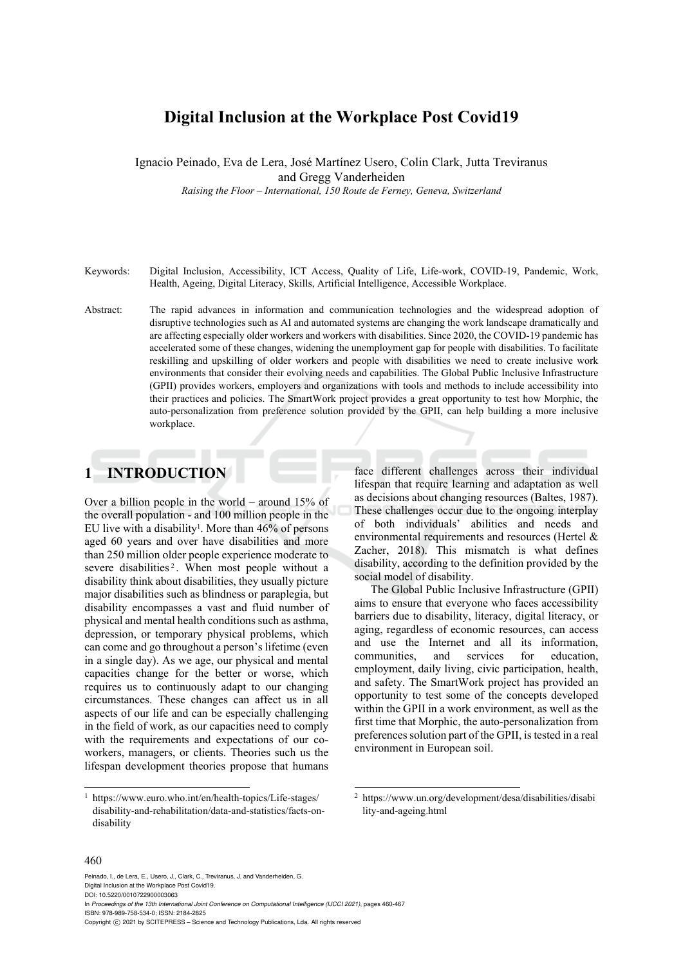# **Digital Inclusion at the Workplace Post Covid19**

Ignacio Peinado, Eva de Lera, José Martínez Usero, Colin Clark, Jutta Treviranus

and Gregg Vanderheiden

*Raising the Floor – International, 150 Route de Ferney, Geneva, Switzerland* 

- Keywords: Digital Inclusion, Accessibility, ICT Access, Quality of Life, Life-work, COVID-19, Pandemic, Work, Health, Ageing, Digital Literacy, Skills, Artificial Intelligence, Accessible Workplace.
- Abstract: The rapid advances in information and communication technologies and the widespread adoption of disruptive technologies such as AI and automated systems are changing the work landscape dramatically and are affecting especially older workers and workers with disabilities. Since 2020, the COVID-19 pandemic has accelerated some of these changes, widening the unemployment gap for people with disabilities. To facilitate reskilling and upskilling of older workers and people with disabilities we need to create inclusive work environments that consider their evolving needs and capabilities. The Global Public Inclusive Infrastructure (GPII) provides workers, employers and organizations with tools and methods to include accessibility into their practices and policies. The SmartWork project provides a great opportunity to test how Morphic, the auto-personalization from preference solution provided by the GPII, can help building a more inclusive workplace.

## **1 INTRODUCTION**

Over a billion people in the world – around 15% of the overall population - and 100 million people in the EU live with a disability<sup>1</sup>. More than  $46\%$  of persons aged 60 years and over have disabilities and more than 250 million older people experience moderate to severe disabilities<sup>2</sup>. When most people without a disability think about disabilities, they usually picture major disabilities such as blindness or paraplegia, but disability encompasses a vast and fluid number of physical and mental health conditions such as asthma, depression, or temporary physical problems, which can come and go throughout a person's lifetime (even in a single day). As we age, our physical and mental capacities change for the better or worse, which requires us to continuously adapt to our changing circumstances. These changes can affect us in all aspects of our life and can be especially challenging in the field of work, as our capacities need to comply with the requirements and expectations of our coworkers, managers, or clients. Theories such us the lifespan development theories propose that humans

face different challenges across their individual lifespan that require learning and adaptation as well as decisions about changing resources (Baltes, 1987). These challenges occur due to the ongoing interplay of both individuals' abilities and needs and environmental requirements and resources (Hertel & Zacher, 2018). This mismatch is what defines disability, according to the definition provided by the social model of disability.

The Global Public Inclusive Infrastructure (GPII) aims to ensure that everyone who faces accessibility barriers due to disability, literacy, digital literacy, or aging, regardless of economic resources, can access and use the Internet and all its information, communities, and services for education, employment, daily living, civic participation, health, and safety. The SmartWork project has provided an opportunity to test some of the concepts developed within the GPII in a work environment, as well as the first time that Morphic, the auto-personalization from preferences solution part of the GPII, is tested in a real environment in European soil.

#### 460

Peinado, I., de Lera, E., Usero, J., Clark, C., Treviranus, J. and Vanderheiden, G. Digital Inclusion at the Workplace Post Covid19.

DOI: 10.5220/0010722900003063

In *Proceedings of the 13th International Joint Conference on Computational Intelligence (IJCCI 2021)*, pages 460-467 ISBN: 978-989-758-534-0; ISSN: 2184-2825

<sup>1</sup> https://www.euro.who.int/en/health-topics/Life-stages/ disability-and-rehabilitation/data-and-statistics/facts-ondisability

<sup>2</sup> https://www.un.org/development/desa/disabilities/disabi lity-and-ageing.html

Copyright (C) 2021 by SCITEPRESS - Science and Technology Publications, Lda. All rights reserved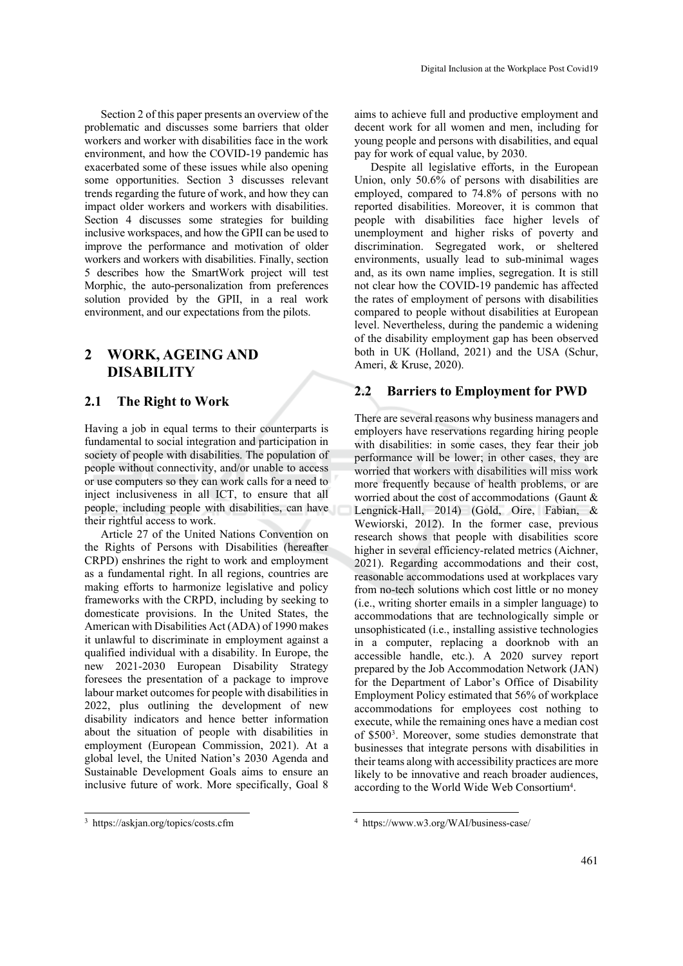Section 2 of this paper presents an overview of the problematic and discusses some barriers that older workers and worker with disabilities face in the work environment, and how the COVID-19 pandemic has exacerbated some of these issues while also opening some opportunities. Section 3 discusses relevant trends regarding the future of work, and how they can impact older workers and workers with disabilities. Section 4 discusses some strategies for building inclusive workspaces, and how the GPII can be used to improve the performance and motivation of older workers and workers with disabilities. Finally, section 5 describes how the SmartWork project will test Morphic, the auto-personalization from preferences solution provided by the GPII, in a real work environment, and our expectations from the pilots.

# **2 WORK, AGEING AND DISABILITY**

### **2.1 The Right to Work**

Having a job in equal terms to their counterparts is fundamental to social integration and participation in society of people with disabilities. The population of people without connectivity, and/or unable to access or use computers so they can work calls for a need to inject inclusiveness in all ICT, to ensure that all people, including people with disabilities, can have their rightful access to work.

Article 27 of the United Nations Convention on the Rights of Persons with Disabilities (hereafter CRPD) enshrines the right to work and employment as a fundamental right. In all regions, countries are making efforts to harmonize legislative and policy frameworks with the CRPD, including by seeking to domesticate provisions. In the United States, the American with Disabilities Act (ADA) of 1990 makes it unlawful to discriminate in employment against a qualified individual with a disability. In Europe, the new 2021-2030 European Disability Strategy foresees the presentation of a package to improve labour market outcomes for people with disabilities in 2022, plus outlining the development of new disability indicators and hence better information about the situation of people with disabilities in employment (European Commission, 2021). At a global level, the United Nation's 2030 Agenda and Sustainable Development Goals aims to ensure an inclusive future of work. More specifically, Goal 8

aims to achieve full and productive employment and decent work for all women and men, including for young people and persons with disabilities, and equal pay for work of equal value, by 2030.

Digital Inclusion at the Workplace Post Covid19

Despite all legislative efforts, in the European Union, only 50.6% of persons with disabilities are employed, compared to 74.8% of persons with no reported disabilities. Moreover, it is common that people with disabilities face higher levels of unemployment and higher risks of poverty and discrimination. Segregated work, or sheltered environments, usually lead to sub-minimal wages and, as its own name implies, segregation. It is still not clear how the COVID-19 pandemic has affected the rates of employment of persons with disabilities compared to people without disabilities at European level. Nevertheless, during the pandemic a widening of the disability employment gap has been observed both in UK (Holland, 2021) and the USA (Schur, Ameri, & Kruse, 2020).

### **2.2 Barriers to Employment for PWD**

There are several reasons why business managers and employers have reservations regarding hiring people with disabilities: in some cases, they fear their job performance will be lower; in other cases, they are worried that workers with disabilities will miss work more frequently because of health problems, or are worried about the cost of accommodations (Gaunt & Lengnick-Hall, 2014) (Gold, Oire, Fabian, & Wewiorski, 2012). In the former case, previous research shows that people with disabilities score higher in several efficiency-related metrics (Aichner, 2021). Regarding accommodations and their cost, reasonable accommodations used at workplaces vary from no-tech solutions which cost little or no money (i.e., writing shorter emails in a simpler language) to accommodations that are technologically simple or unsophisticated (i.e., installing assistive technologies in a computer, replacing a doorknob with an accessible handle, etc.). A 2020 survey report prepared by the Job Accommodation Network (JAN) for the Department of Labor's Office of Disability Employment Policy estimated that 56% of workplace accommodations for employees cost nothing to execute, while the remaining ones have a median cost of \$5003. Moreover, some studies demonstrate that businesses that integrate persons with disabilities in their teams along with accessibility practices are more likely to be innovative and reach broader audiences, according to the World Wide Web Consortium4.

<sup>3</sup> https://askjan.org/topics/costs.cfm

<sup>4</sup> https://www.w3.org/WAI/business-case/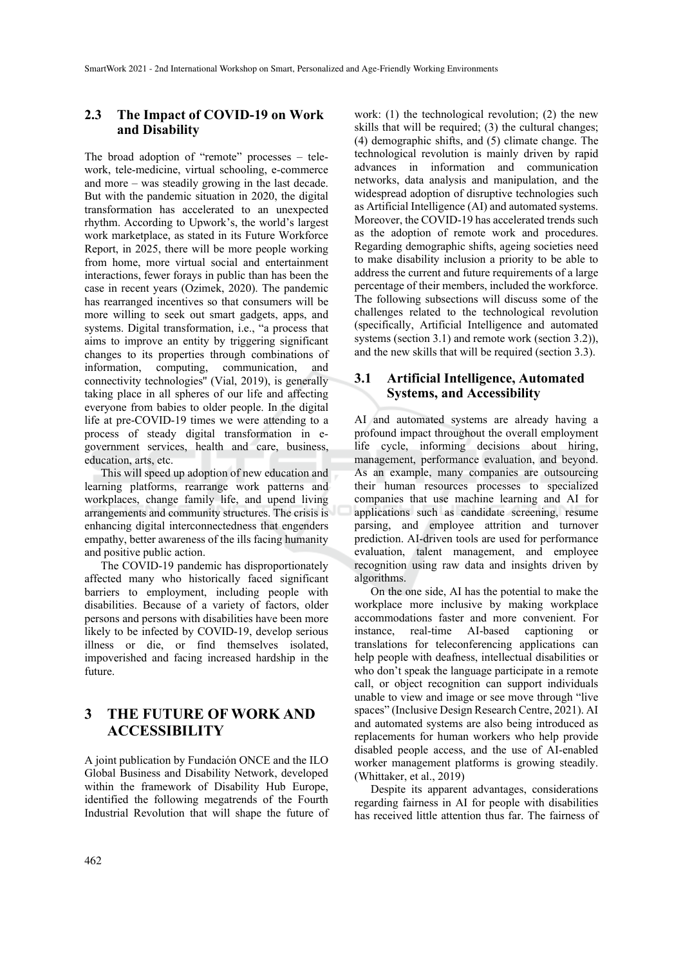### **2.3 The Impact of COVID-19 on Work and Disability**

The broad adoption of "remote" processes – telework, tele-medicine, virtual schooling, e-commerce and more – was steadily growing in the last decade. But with the pandemic situation in 2020, the digital transformation has accelerated to an unexpected rhythm. According to Upwork's, the world's largest work marketplace, as stated in its Future Workforce Report, in 2025, there will be more people working from home, more virtual social and entertainment interactions, fewer forays in public than has been the case in recent years (Ozimek, 2020). The pandemic has rearranged incentives so that consumers will be more willing to seek out smart gadgets, apps, and systems. Digital transformation, i.e., "a process that aims to improve an entity by triggering significant changes to its properties through combinations of information, computing, communication, and connectivity technologies'' (Vial, 2019), is generally taking place in all spheres of our life and affecting everyone from babies to older people. In the digital life at pre-COVID-19 times we were attending to a process of steady digital transformation in egovernment services, health and care, business, education, arts, etc.

This will speed up adoption of new education and learning platforms, rearrange work patterns and workplaces, change family life, and upend living arrangements and community structures. The crisis is enhancing digital interconnectedness that engenders empathy, better awareness of the ills facing humanity and positive public action.

The COVID-19 pandemic has disproportionately affected many who historically faced significant barriers to employment, including people with disabilities. Because of a variety of factors, older persons and persons with disabilities have been more likely to be infected by COVID-19, develop serious illness or die, or find themselves isolated, impoverished and facing increased hardship in the future.

# **3 THE FUTURE OF WORK AND ACCESSIBILITY**

A joint publication by Fundación ONCE and the ILO Global Business and Disability Network, developed within the framework of Disability Hub Europe, identified the following megatrends of the Fourth Industrial Revolution that will shape the future of

work: (1) the technological revolution; (2) the new skills that will be required; (3) the cultural changes; (4) demographic shifts, and (5) climate change. The technological revolution is mainly driven by rapid advances in information and communication networks, data analysis and manipulation, and the widespread adoption of disruptive technologies such as Artificial Intelligence (AI) and automated systems. Moreover, the COVID-19 has accelerated trends such as the adoption of remote work and procedures. Regarding demographic shifts, ageing societies need to make disability inclusion a priority to be able to address the current and future requirements of a large percentage of their members, included the workforce. The following subsections will discuss some of the challenges related to the technological revolution (specifically, Artificial Intelligence and automated systems (section 3.1) and remote work (section 3.2)), and the new skills that will be required (section 3.3).

#### **3.1 Artificial Intelligence, Automated Systems, and Accessibility**

AI and automated systems are already having a profound impact throughout the overall employment life cycle, informing decisions about hiring, management, performance evaluation, and beyond. As an example, many companies are outsourcing their human resources processes to specialized companies that use machine learning and AI for applications such as candidate screening, resume parsing, and employee attrition and turnover prediction. AI-driven tools are used for performance evaluation, talent management, and employee recognition using raw data and insights driven by algorithms.

On the one side, AI has the potential to make the workplace more inclusive by making workplace accommodations faster and more convenient. For instance, real-time AI-based captioning or translations for teleconferencing applications can help people with deafness, intellectual disabilities or who don't speak the language participate in a remote call, or object recognition can support individuals unable to view and image or see move through "live spaces" (Inclusive Design Research Centre, 2021). AI and automated systems are also being introduced as replacements for human workers who help provide disabled people access, and the use of AI-enabled worker management platforms is growing steadily. (Whittaker, et al., 2019)

Despite its apparent advantages, considerations regarding fairness in AI for people with disabilities has received little attention thus far. The fairness of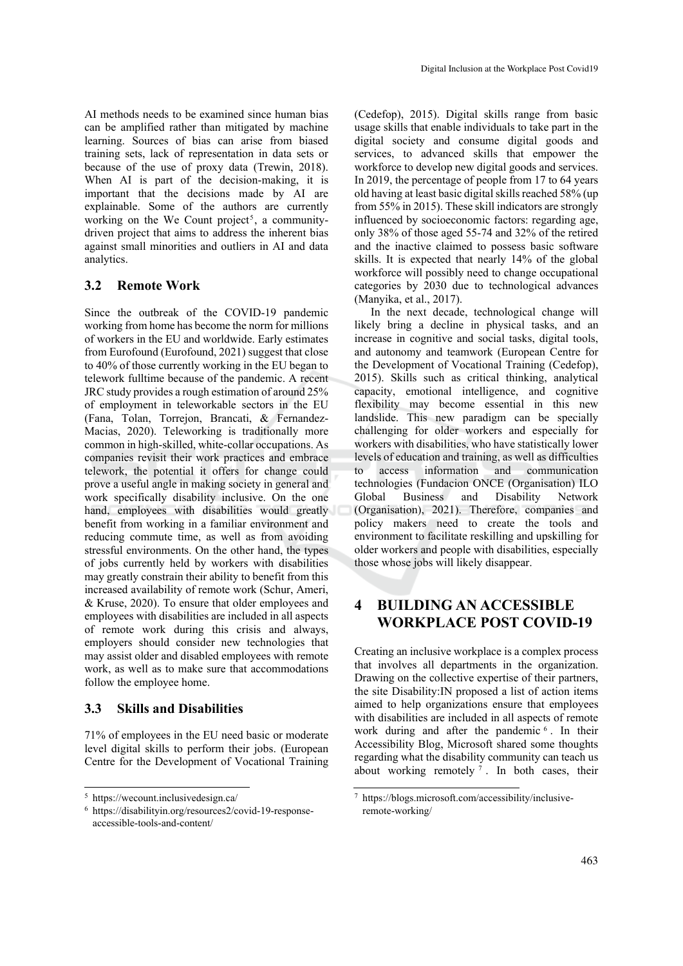AI methods needs to be examined since human bias can be amplified rather than mitigated by machine learning. Sources of bias can arise from biased training sets, lack of representation in data sets or because of the use of proxy data (Trewin, 2018). When AI is part of the decision-making, it is important that the decisions made by AI are explainable. Some of the authors are currently working on the We Count project<sup>5</sup>, a communitydriven project that aims to address the inherent bias against small minorities and outliers in AI and data analytics.

#### **3.2 Remote Work**

Since the outbreak of the COVID-19 pandemic working from home has become the norm for millions of workers in the EU and worldwide. Early estimates from Eurofound (Eurofound, 2021) suggest that close to 40% of those currently working in the EU began to telework fulltime because of the pandemic. A recent JRC study provides a rough estimation of around 25% of employment in teleworkable sectors in the EU (Fana, Tolan, Torrejon, Brancati, & Fernandez-Macias, 2020). Teleworking is traditionally more common in high-skilled, white-collar occupations. As companies revisit their work practices and embrace telework, the potential it offers for change could prove a useful angle in making society in general and work specifically disability inclusive. On the one hand, employees with disabilities would greatly benefit from working in a familiar environment and reducing commute time, as well as from avoiding stressful environments. On the other hand, the types of jobs currently held by workers with disabilities may greatly constrain their ability to benefit from this increased availability of remote work (Schur, Ameri, & Kruse, 2020). To ensure that older employees and employees with disabilities are included in all aspects of remote work during this crisis and always, employers should consider new technologies that may assist older and disabled employees with remote work, as well as to make sure that accommodations follow the employee home.

#### **3.3 Skills and Disabilities**

71% of employees in the EU need basic or moderate level digital skills to perform their jobs. (European Centre for the Development of Vocational Training (Cedefop), 2015). Digital skills range from basic usage skills that enable individuals to take part in the digital society and consume digital goods and services, to advanced skills that empower the workforce to develop new digital goods and services. In 2019, the percentage of people from 17 to 64 years old having at least basic digital skills reached 58% (up from 55% in 2015). These skill indicators are strongly influenced by socioeconomic factors: regarding age, only 38% of those aged 55-74 and 32% of the retired and the inactive claimed to possess basic software skills. It is expected that nearly 14% of the global workforce will possibly need to change occupational categories by 2030 due to technological advances (Manyika, et al., 2017).

In the next decade, technological change will likely bring a decline in physical tasks, and an increase in cognitive and social tasks, digital tools, and autonomy and teamwork (European Centre for the Development of Vocational Training (Cedefop), 2015). Skills such as critical thinking, analytical capacity, emotional intelligence, and cognitive flexibility may become essential in this new landslide. This new paradigm can be specially challenging for older workers and especially for workers with disabilities, who have statistically lower levels of education and training, as well as difficulties to access information and communication technologies (Fundacion ONCE (Organisation) ILO Global Business and Disability Network (Organisation), 2021). Therefore, companies and policy makers need to create the tools and environment to facilitate reskilling and upskilling for older workers and people with disabilities, especially those whose jobs will likely disappear.

### **4 BUILDING AN ACCESSIBLE WORKPLACE POST COVID-19**

Creating an inclusive workplace is a complex process that involves all departments in the organization. Drawing on the collective expertise of their partners, the site Disability:IN proposed a list of action items aimed to help organizations ensure that employees with disabilities are included in all aspects of remote work during and after the pandemic <sup>6</sup>. In their Accessibility Blog, Microsoft shared some thoughts regarding what the disability community can teach us about working remotely  $\overline{7}$ . In both cases, their

<sup>5</sup> https://wecount.inclusivedesign.ca/

<sup>6</sup> https://disabilityin.org/resources2/covid-19-responseaccessible-tools-and-content/

<sup>7</sup> https://blogs.microsoft.com/accessibility/inclusiveremote-working/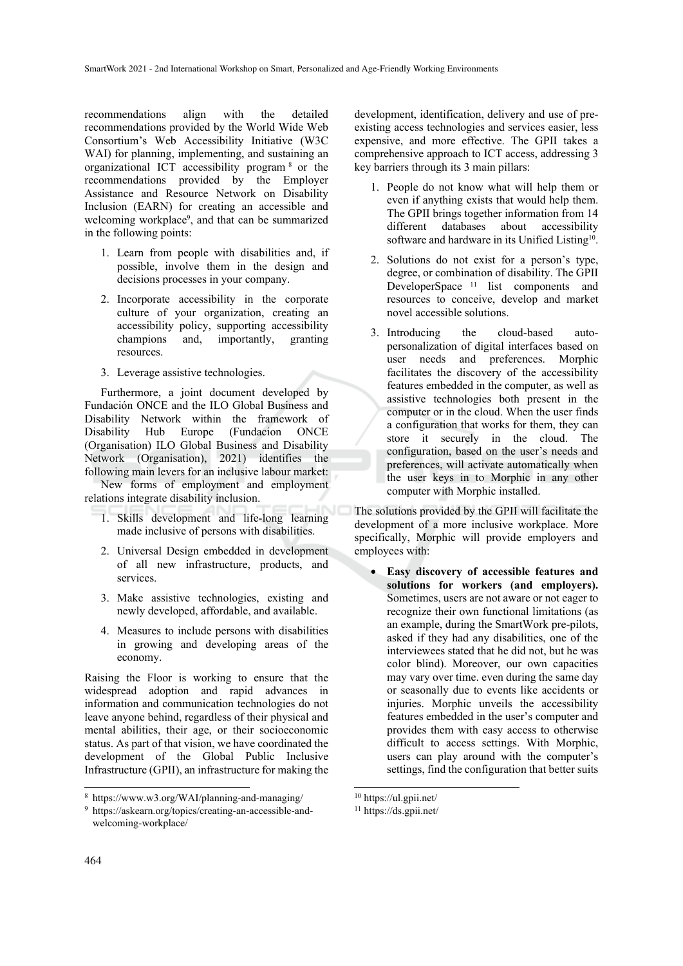recommendations align with the detailed recommendations provided by the World Wide Web Consortium's Web Accessibility Initiative (W3C WAI) for planning, implementing, and sustaining an organizational ICT accessibility program 8 or the recommendations provided by the Employer Assistance and Resource Network on Disability Inclusion (EARN) for creating an accessible and welcoming workplace9, and that can be summarized in the following points:

- 1. Learn from people with disabilities and, if possible, involve them in the design and decisions processes in your company.
- 2. Incorporate accessibility in the corporate culture of your organization, creating an accessibility policy, supporting accessibility champions and, importantly, granting resources.
- 3. Leverage assistive technologies.

Furthermore, a joint document developed by Fundación ONCE and the ILO Global Business and Disability Network within the framework of Disability Hub Europe (Fundacion ONCE (Organisation) ILO Global Business and Disability Network (Organisation), 2021) identifies the following main levers for an inclusive labour market:

New forms of employment and employment relations integrate disability inclusion.

- 1. Skills development and life-long learning made inclusive of persons with disabilities.
- 2. Universal Design embedded in development of all new infrastructure, products, and services.
- 3. Make assistive technologies, existing and newly developed, affordable, and available.
- 4. Measures to include persons with disabilities in growing and developing areas of the economy.

Raising the Floor is working to ensure that the widespread adoption and rapid advances in information and communication technologies do not leave anyone behind, regardless of their physical and mental abilities, their age, or their socioeconomic status. As part of that vision, we have coordinated the development of the Global Public Inclusive Infrastructure (GPII), an infrastructure for making the

development, identification, delivery and use of preexisting access technologies and services easier, less expensive, and more effective. The GPII takes a comprehensive approach to ICT access, addressing 3 key barriers through its 3 main pillars:

- 1. People do not know what will help them or even if anything exists that would help them. The GPII brings together information from 14 different databases about accessibility software and hardware in its Unified Listing<sup>10</sup>.
- 2. Solutions do not exist for a person's type, degree, or combination of disability. The GPII DeveloperSpace<sup>11</sup> list components and resources to conceive, develop and market novel accessible solutions.
- 3. Introducing the cloud-based autopersonalization of digital interfaces based on user needs and preferences. Morphic facilitates the discovery of the accessibility features embedded in the computer, as well as assistive technologies both present in the computer or in the cloud. When the user finds a configuration that works for them, they can store it securely in the cloud. The configuration, based on the user's needs and preferences, will activate automatically when the user keys in to Morphic in any other computer with Morphic installed.

The solutions provided by the GPII will facilitate the development of a more inclusive workplace. More specifically, Morphic will provide employers and employees with:

• **Easy discovery of accessible features and solutions for workers (and employers).** Sometimes, users are not aware or not eager to recognize their own functional limitations (as an example, during the SmartWork pre-pilots, asked if they had any disabilities, one of the interviewees stated that he did not, but he was color blind). Moreover, our own capacities may vary over time. even during the same day or seasonally due to events like accidents or injuries. Morphic unveils the accessibility features embedded in the user's computer and provides them with easy access to otherwise difficult to access settings. With Morphic, users can play around with the computer's settings, find the configuration that better suits

<sup>8</sup> https://www.w3.org/WAI/planning-and-managing/ 9

https://askearn.org/topics/creating-an-accessible-andwelcoming-workplace/

<sup>10</sup> https://ul.gpii.net/

<sup>11</sup> https://ds.gpii.net/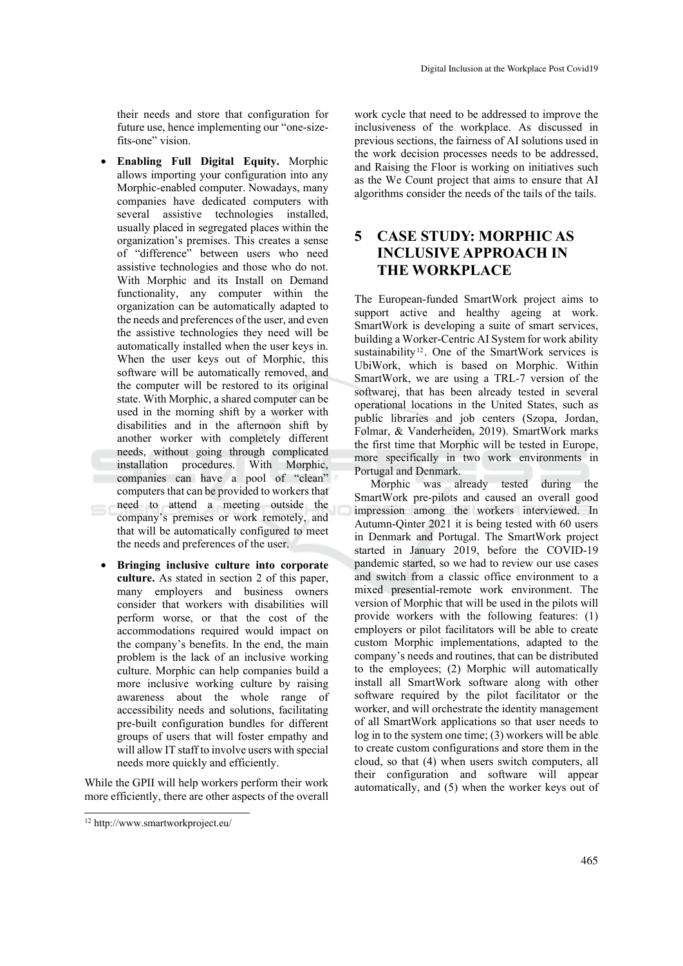their needs and store that configuration for future use, hence implementing our "one-sizefits-one" vision.

- **Enabling Full Digital Equity.** Morphic allows importing your configuration into any Morphic-enabled computer. Nowadays, many companies have dedicated computers with several assistive technologies installed, usually placed in segregated places within the organization's premises. This creates a sense of "difference" between users who need assistive technologies and those who do not. With Morphic and its Install on Demand functionality, any computer within the organization can be automatically adapted to the needs and preferences of the user, and even the assistive technologies they need will be automatically installed when the user keys in. When the user keys out of Morphic, this software will be automatically removed, and the computer will be restored to its original state. With Morphic, a shared computer can be used in the morning shift by a worker with disabilities and in the afternoon shift by another worker with completely different needs, without going through complicated installation procedures. With Morphic, companies can have a pool of "clean" computers that can be provided to workers that need to attend a meeting outside the company's premises or work remotely, and that will be automatically configured to meet the needs and preferences of the user.
- **Bringing inclusive culture into corporate culture.** As stated in section 2 of this paper, many employers and business owners consider that workers with disabilities will perform worse, or that the cost of the accommodations required would impact on the company's benefits. In the end, the main problem is the lack of an inclusive working culture. Morphic can help companies build a more inclusive working culture by raising awareness about the whole range of accessibility needs and solutions, facilitating pre-built configuration bundles for different groups of users that will foster empathy and will allow IT staff to involve users with special needs more quickly and efficiently.

While the GPII will help workers perform their work more efficiently, there are other aspects of the overall

12 http://www.smartworkproject.eu/

work cycle that need to be addressed to improve the inclusiveness of the workplace. As discussed in previous sections, the fairness of AI solutions used in the work decision processes needs to be addressed, and Raising the Floor is working on initiatives such as the We Count project that aims to ensure that AI algorithms consider the needs of the tails of the tails.

# **5 CASE STUDY: MORPHIC AS INCLUSIVE APPROACH IN THE WORKPLACE**

The European-funded SmartWork project aims to support active and healthy ageing at work. SmartWork is developing a suite of smart services, building a Worker-Centric AI System for work ability sustainability<sup>12</sup>. One of the SmartWork services is UbiWork, which is based on Morphic. Within SmartWork, we are using a TRL-7 version of the softwarej, that has been already tested in several operational locations in the United States, such as public libraries and job centers (Szopa, Jordan, Folmar, & Vanderheiden, 2019). SmartWork marks the first time that Morphic will be tested in Europe, more specifically in two work environments in Portugal and Denmark.

Morphic was already tested during the SmartWork pre-pilots and caused an overall good impression among the workers interviewed. In Autumn-Qinter 2021 it is being tested with 60 users in Denmark and Portugal. The SmartWork project started in January 2019, before the COVID-19 pandemic started, so we had to review our use cases and switch from a classic office environment to a mixed presential-remote work environment. The version of Morphic that will be used in the pilots will provide workers with the following features: (1) employers or pilot facilitators will be able to create custom Morphic implementations, adapted to the company's needs and routines, that can be distributed to the employees; (2) Morphic will automatically install all SmartWork software along with other software required by the pilot facilitator or the worker, and will orchestrate the identity management of all SmartWork applications so that user needs to log in to the system one time; (3) workers will be able to create custom configurations and store them in the cloud, so that (4) when users switch computers, all their configuration and software will appear automatically, and (5) when the worker keys out of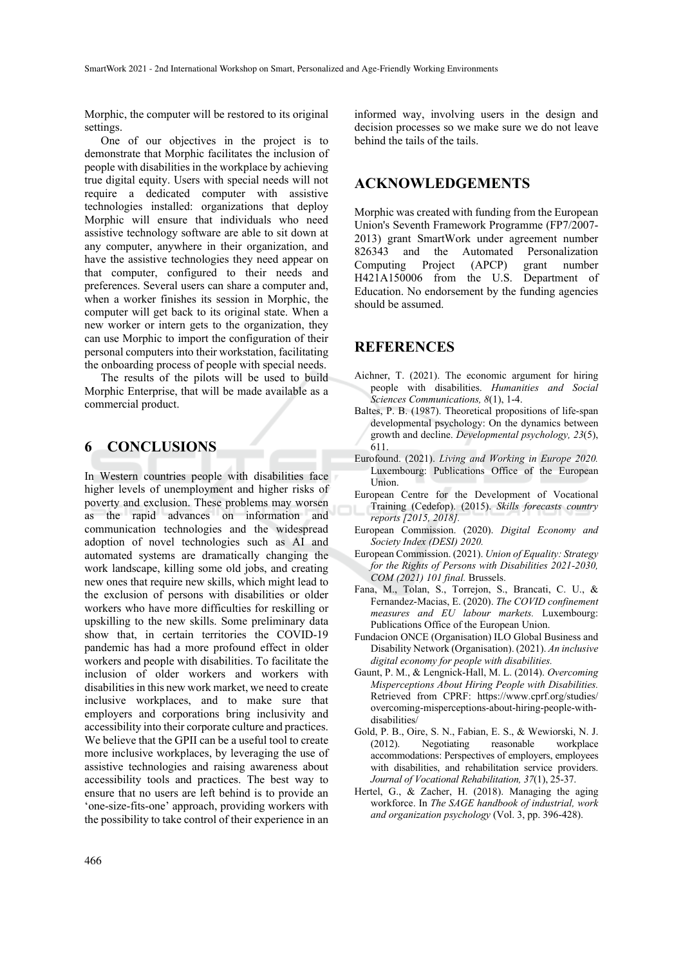Morphic, the computer will be restored to its original settings.

One of our objectives in the project is to demonstrate that Morphic facilitates the inclusion of people with disabilities in the workplace by achieving true digital equity. Users with special needs will not require a dedicated computer with assistive technologies installed: organizations that deploy Morphic will ensure that individuals who need assistive technology software are able to sit down at any computer, anywhere in their organization, and have the assistive technologies they need appear on that computer, configured to their needs and preferences. Several users can share a computer and, when a worker finishes its session in Morphic, the computer will get back to its original state. When a new worker or intern gets to the organization, they can use Morphic to import the configuration of their personal computers into their workstation, facilitating the onboarding process of people with special needs.

The results of the pilots will be used to build Morphic Enterprise, that will be made available as a commercial product.

#### **6 CONCLUSIONS**

In Western countries people with disabilities face higher levels of unemployment and higher risks of poverty and exclusion. These problems may worsen as the rapid advances on information and communication technologies and the widespread adoption of novel technologies such as AI and automated systems are dramatically changing the work landscape, killing some old jobs, and creating new ones that require new skills, which might lead to the exclusion of persons with disabilities or older workers who have more difficulties for reskilling or upskilling to the new skills. Some preliminary data show that, in certain territories the COVID-19 pandemic has had a more profound effect in older workers and people with disabilities. To facilitate the inclusion of older workers and workers with disabilities in this new work market, we need to create inclusive workplaces, and to make sure that employers and corporations bring inclusivity and accessibility into their corporate culture and practices. We believe that the GPII can be a useful tool to create more inclusive workplaces, by leveraging the use of assistive technologies and raising awareness about accessibility tools and practices. The best way to ensure that no users are left behind is to provide an 'one-size-fits-one' approach, providing workers with the possibility to take control of their experience in an

informed way, involving users in the design and decision processes so we make sure we do not leave behind the tails of the tails.

#### **ACKNOWLEDGEMENTS**

Morphic was created with funding from the European Union's Seventh Framework Programme (FP7/2007- 2013) grant SmartWork under agreement number 826343 and the Automated Personalization Computing Project (APCP) grant number H421A150006 from the U.S. Department of Education. No endorsement by the funding agencies should be assumed.

### **REFERENCES**

- Aichner, T. (2021). The economic argument for hiring people with disabilities. *Humanities and Social Sciences Communications, 8*(1), 1-4.
- Baltes, P. B. (1987). Theoretical propositions of life-span developmental psychology: On the dynamics between growth and decline. *Developmental psychology, 23*(5), 611.
- Eurofound. (2021). *Living and Working in Europe 2020.* Luxembourg: Publications Office of the European Union.
- European Centre for the Development of Vocational Training (Cedefop). (2015). *Skills forecasts country reports [2015, 2018].*
- European Commission. (2020). *Digital Economy and Society Index (DESI) 2020.*
- European Commission. (2021). *Union of Equality: Strategy for the Rights of Persons with Disabilities 2021-2030, COM (2021) 101 final.* Brussels.
- Fana, M., Tolan, S., Torrejon, S., Brancati, C. U., & Fernandez-Macias, E. (2020). *The COVID confinement measures and EU labour markets.* Luxembourg: Publications Office of the European Union.
- Fundacion ONCE (Organisation) ILO Global Business and Disability Network (Organisation). (2021). *An inclusive digital economy for people with disabilities.*
- Gaunt, P. M., & Lengnick-Hall, M. L. (2014). *Overcoming Misperceptions About Hiring People with Disabilities.* Retrieved from CPRF: https://www.cprf.org/studies/ overcoming-misperceptions-about-hiring-people-withdisabilities/
- Gold, P. B., Oire, S. N., Fabian, E. S., & Wewiorski, N. J. (2012). Negotiating reasonable workplace accommodations: Perspectives of employers, employees with disabilities, and rehabilitation service providers. *Journal of Vocational Rehabilitation, 37*(1), 25-37.
- Hertel, G., & Zacher, H. (2018). Managing the aging workforce. In *The SAGE handbook of industrial, work and organization psychology* (Vol. 3, pp. 396-428).